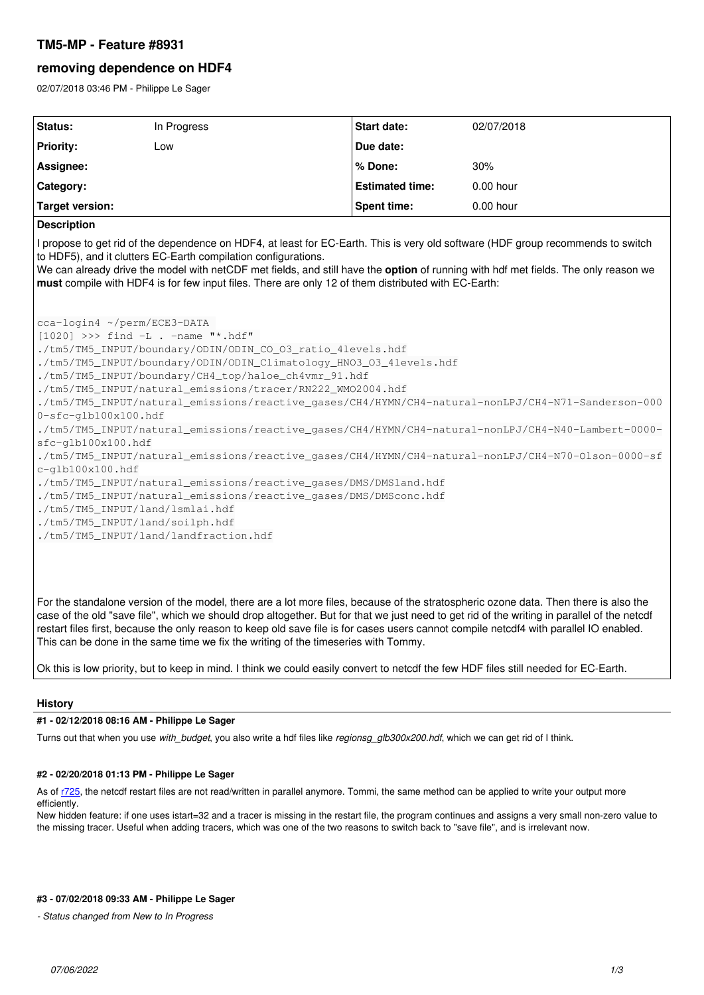# **TM5-MP - Feature #8931**

# **removing dependence on HDF4**

02/07/2018 03:46 PM - Philippe Le Sager

| Status:                                                                                                                                                                                                                                                                                                                                                                                                                                                                                                                | In Progress | <b>Start date:</b>     | 02/07/2018 |
|------------------------------------------------------------------------------------------------------------------------------------------------------------------------------------------------------------------------------------------------------------------------------------------------------------------------------------------------------------------------------------------------------------------------------------------------------------------------------------------------------------------------|-------------|------------------------|------------|
| <b>Priority:</b>                                                                                                                                                                                                                                                                                                                                                                                                                                                                                                       | Low         | Due date:              |            |
| Assignee:                                                                                                                                                                                                                                                                                                                                                                                                                                                                                                              |             | % Done:                | 30%        |
| Category:                                                                                                                                                                                                                                                                                                                                                                                                                                                                                                              |             | <b>Estimated time:</b> | 0.00 hour  |
| <b>Target version:</b>                                                                                                                                                                                                                                                                                                                                                                                                                                                                                                 |             | <b>Spent time:</b>     | 0.00 hour  |
| <b>Description</b>                                                                                                                                                                                                                                                                                                                                                                                                                                                                                                     |             |                        |            |
| I propose to get rid of the dependence on HDF4, at least for EC-Earth. This is very old software (HDF group recommends to switch<br>to HDF5), and it clutters EC-Earth compilation configurations.<br>We can already drive the model with netCDF met fields, and still have the option of running with hdf met fields. The only reason we<br>must compile with HDF4 is for few input files. There are only 12 of them distributed with EC-Earth:<br>cca-login4 ~/perm/ECE3-DATA<br>$[1020]$ >>> find -L. -name "*.hdf" |             |                        |            |
| ./tm5/TM5_INPUT/boundary/ODIN/ODIN_CO_O3_ratio_4levels.hdf<br>./tm5/TM5_INPUT/boundary/ODIN/ODIN_Climatology_HNO3_03_4levels.hdf<br>./tm5/TM5_INPUT/boundary/CH4_top/haloe_ch4vmr_91.hdf<br>./tm5/TM5_INPUT/natural_emissions/tracer/RN222_WM02004.hdf<br>./tm5/TM5_INPUT/natural_emissions/reactive_gases/CH4/HYMN/CH4-natural-nonLPJ/CH4-N71-Sanderson-000<br>$0-sfc-qlb100x100.hdf$<br>./tm5/TM5_INPUT/natural_emissions/reactive_gases/CH4/HYMN/CH4-natural-nonLPJ/CH4-N40-Lambert-0000-                           |             |                        |            |
| sfc-qlb100x100.hdf<br>./tm5/TM5_INPUT/natural_emissions/reactive_gases/CH4/HYMN/CH4-natural-nonLPJ/CH4-N70-Olson-0000-sf<br>c-glb100x100.hdf                                                                                                                                                                                                                                                                                                                                                                           |             |                        |            |
| ./tm5/TM5_INPUT/natural_emissions/reactive_qases/DMS/DMSland.hdf<br>./tm5/TM5_INPUT/natural_emissions/reactive_gases/DMS/DMSconc.hdf<br>./tm5/TM5_INPUT/land/lsmlai.hdf<br>./tm5/TM5_INPUT/land/soilph.hdf<br>./tm5/TM5_INPUT/land/landfraction.hdf                                                                                                                                                                                                                                                                    |             |                        |            |
| For the standalone version of the model, there are a lot more files, because of the stratospheric ozone data. Then there is also the<br>case of the old "save file", which we should drop altogether. But for that we just need to get rid of the writing in parallel of the netcdf<br>restart files first, because the only reason to keep old save file is for cases users cannot compile netcdf4 with parallel IO enabled.                                                                                          |             |                        |            |

Ok this is low priority, but to keep in mind. I think we could easily convert to netcdf the few HDF files still needed for EC-Earth.

This can be done in the same time we fix the writing of the timeseries with Tommy.

## **History**

## **#1 - 02/12/2018 08:16 AM - Philippe Le Sager**

Turns out that when you use *with\_budget*, you also write a hdf files like *regionsg\_glb300x200.hdf*, which we can get rid of I think.

## **#2 - 02/20/2018 01:13 PM - Philippe Le Sager**

As of [r725,](https://dev.knmi.nl/projects/tm5mp/repository/revisions/725) the netcdf restart files are not read/written in parallel anymore. Tommi, the same method can be applied to write your output more efficiently.

New hidden feature: if one uses istart=32 and a tracer is missing in the restart file, the program continues and assigns a very small non-zero value to the missing tracer. Useful when adding tracers, which was one of the two reasons to switch back to "save file", and is irrelevant now.

### **#3 - 07/02/2018 09:33 AM - Philippe Le Sager**

*- Status changed from New to In Progress*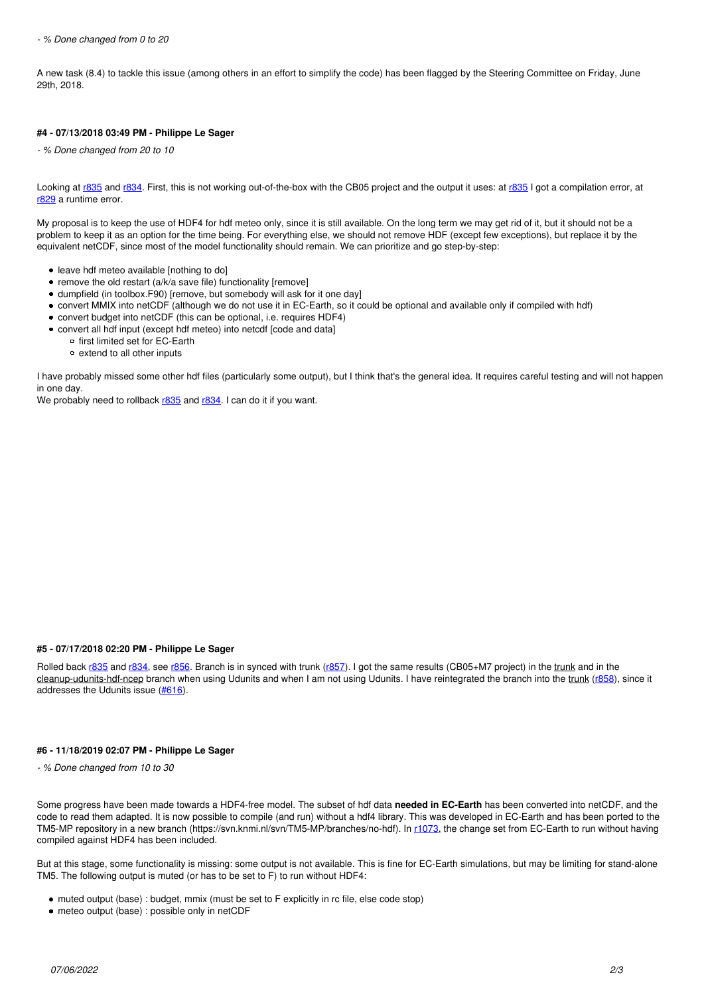A new task (8.4) to tackle this issue (among others in an effort to simplify the code) has been flagged by the Steering Committee on Friday, June 29th, 2018.

## **#4 - 07/13/2018 03:49 PM - Philippe Le Sager**

*- % Done changed from 20 to 10*

Looking at [r835](https://dev.knmi.nl/projects/tm5mp/repository/revisions/835) and [r834](https://dev.knmi.nl/projects/tm5mp/repository/revisions/834). First, this is not working out-of-the-box with the CB05 project and the output it uses: at [r835](https://dev.knmi.nl/projects/tm5mp/repository/revisions/835) I got a compilation error, at [r829](https://dev.knmi.nl/projects/tm5mp/repository/revisions/829) a runtime error.

My proposal is to keep the use of HDF4 for hdf meteo only, since it is still available. On the long term we may get rid of it, but it should not be a problem to keep it as an option for the time being. For everything else, we should not remove HDF (except few exceptions), but replace it by the equivalent netCDF, since most of the model functionality should remain. We can prioritize and go step-by-step:

- leave hdf meteo available [nothing to do]
- remove the old restart  $(a/k/a)$  save file) functionality [remove]
- dumpfield (in toolbox.F90) [remove, but somebody will ask for it one day]
- convert MMIX into netCDF (although we do not use it in EC-Earth, so it could be optional and available only if compiled with hdf)
- convert budget into netCDF (this can be optional, i.e. requires HDF4)
- convert all hdf input (except hdf meteo) into netcdf [code and data]
	- o first limited set for EC-Earth
	- extend to all other inputs

I have probably missed some other hdf files (particularly some output), but I think that's the general idea. It requires careful testing and will not happen in one day.

We probably need to rollback [r835](https://dev.knmi.nl/projects/tm5mp/repository/revisions/835) and [r834.](https://dev.knmi.nl/projects/tm5mp/repository/revisions/834) I can do it if you want.

#### **#5 - 07/17/2018 02:20 PM - Philippe Le Sager**

Rolled back [r835](https://dev.knmi.nl/projects/tm5mp/repository/revisions/835) and [r834](https://dev.knmi.nl/projects/tm5mp/repository/revisions/834), see [r856.](https://dev.knmi.nl/projects/tm5mp/repository/revisions/856) Branch is in synced with trunk ([r857\)](https://dev.knmi.nl/projects/tm5mp/repository/revisions/857). I got the same results (CB05+M7 project) in the trunk and in the cleanup-udunits-hdf-ncep branch when using Udunits and when I am not using Udunits. I have reintegrated the branch into the trunk [\(r858](https://dev.knmi.nl/projects/tm5mp/repository/revisions/858)), since it addresses the Udunits issue ([#616](https://dev.knmi.nl/issues/616)).

#### **#6 - 11/18/2019 02:07 PM - Philippe Le Sager**

*- % Done changed from 10 to 30*

Some progress have been made towards a HDF4-free model. The subset of hdf data **needed in EC-Earth** has been converted into netCDF, and the code to read them adapted. It is now possible to compile (and run) without a hdf4 library. This was developed in EC-Earth and has been ported to the TM5-MP repository in a new branch (https://svn.knmi.nl/svn/TM5-MP/branches/no-hdf). In [r1073,](https://dev.knmi.nl/projects/tm5mp/repository/revisions/1073) the change set from EC-Earth to run without having compiled against HDF4 has been included.

But at this stage, some functionality is missing: some output is not available. This is fine for EC-Earth simulations, but may be limiting for stand-alone TM5. The following output is muted (or has to be set to F) to run without HDF4:

- muted output (base) : budget, mmix (must be set to F explicitly in rc file, else code stop)
- meteo output (base) : possible only in netCDF